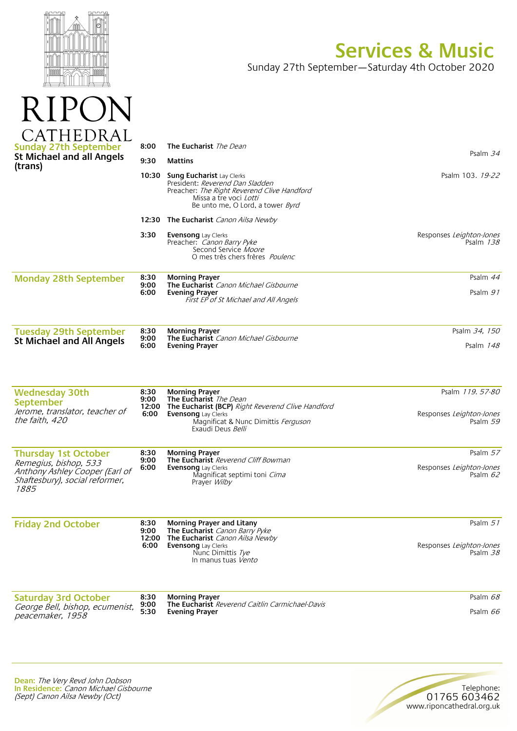

RIP<sub>®</sub>

## **Services & Music**

Sunday 27th September—Saturday 4th October 2020

| <b>Sunday 27th September</b>                                                                      | 8:00                          | <b>The Eucharist</b> The Dean                                                                                                                                                                  | Psalm 34                                                |
|---------------------------------------------------------------------------------------------------|-------------------------------|------------------------------------------------------------------------------------------------------------------------------------------------------------------------------------------------|---------------------------------------------------------|
| <b>St Michael and all Angels</b><br>(trans)                                                       | 9:30                          | <b>Mattins</b>                                                                                                                                                                                 |                                                         |
|                                                                                                   | 10:30                         | Sung Eucharist Lay Clerks<br>President: Reverend Dan Sladden<br>Preacher: The Right Reverend Clive Handford<br>Missa a tre voci <i>Lotti</i><br>Be unto me, O Lord, a tower Byrd               | Psalm 103. 19-22                                        |
|                                                                                                   |                               | <b>12:30 The Eucharist</b> Canon Ailsa Newby                                                                                                                                                   |                                                         |
|                                                                                                   | 3:30                          | <b>Evensong</b> Lay Clerks<br>Preacher: Canon Barry Pyke<br>Second Service Moore<br>O mes très chers frères <i>Poulenc</i>                                                                     | Responses Leighton-Jones<br>Psalm 138                   |
| <b>Monday 28th September</b>                                                                      | 8:30<br>9:00<br>6:00          | <b>Morning Prayer</b><br>The Eucharist Canon Michael Gisbourne<br><b>Evening Prayer</b><br>First EP of St Michael and All Angels                                                               | Psalm 44<br>Psalm 91                                    |
| <b>Tuesday 29th September</b>                                                                     | 8:30                          | <b>Morning Prayer</b>                                                                                                                                                                          | Psalm 34, 150                                           |
| <b>St Michael and All Angels</b>                                                                  | 9:00<br>6:00                  | The Eucharist Canon Michael Gisbourne<br><b>Evening Prayer</b>                                                                                                                                 | Psalm $148$                                             |
| <b>Wednesday 30th</b><br>September<br>Jerome, translator, teacher of<br>the faith, 420            | 8:30<br>9:00<br>12:00<br>6:00 | <b>Morning Prayer</b><br>The Eucharist The Dean<br>The Eucharist (BCP) Right Reverend Clive Handford<br><b>Evensong</b> Lay Clerks<br>Magnificat & Nunc Dimittis Ferguson<br>Exaudi Deus Belli | Psalm 119.57-80<br>Responses Leighton-Jones<br>Psalm 59 |
| <b>Thursday 1st October</b>                                                                       | 8:30                          | <b>Morning Prayer</b>                                                                                                                                                                          | Psalm 57                                                |
| Remegius, bishop, 533<br>Anthony Ashley Cooper (Earl of<br>Shaftesbury), social reformer,<br>1885 | 9:00<br>6:00                  | The Eucharist Reverend Cliff Bowman<br><b>Evensong</b> Lay Clerks<br>Magnificat septimi toni Cima<br>Prayer <i>Wilby</i>                                                                       | Responses Leighton-Jones<br>Psalm $62$                  |
| <b>Friday 2nd October</b>                                                                         | 8:30<br>9:00<br>6:00          | <b>Morning Prayer and Litany</b><br>The Eucharist Canon Barry Pyke                                                                                                                             | Psalm $51$                                              |
|                                                                                                   |                               | 12:00 The Eucharist Canon Ailsa Newby<br><b>Evensong</b> Lay Clerks<br>Nunc Dimittis Tye<br>In manus tuas Vento                                                                                | Responses Leighton-Jones<br>Psalm 38                    |
| <b>Saturday 3rd October</b>                                                                       | 8:30                          | <b>Morning Prayer</b>                                                                                                                                                                          | Psalm 68                                                |
| George Bell, bishop, ecumenist,<br>peacemaker, 1958                                               | 9:00<br>5:30                  | <b>The Eucharist</b> Reverend Caitlin Carmichael-Davis<br><b>Evening Prayer</b>                                                                                                                | Psalm 66                                                |
|                                                                                                   |                               |                                                                                                                                                                                                |                                                         |